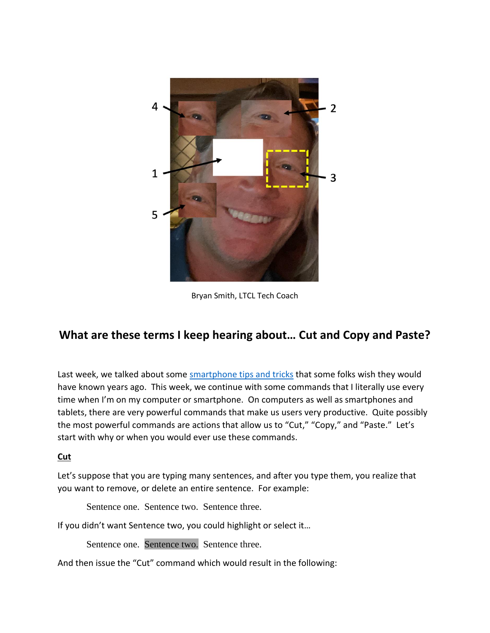

Bryan Smith, LTCL Tech Coach

# **What are these terms I keep hearing about… Cut and Copy and Paste?**

Last week, we talked about some [smartphone tips and tricks](https://laketravislibrary.org/wp-content/uploads/2020/06/Tech-Coach-Column-Smartphone-tips-that-you-wish-someone-would-have-taught-you-years-ago-2020-06-29.pdf) that some folks wish they would have known years ago. This week, we continue with some commands that I literally use every time when I'm on my computer or smartphone. On computers as well as smartphones and tablets, there are very powerful commands that make us users very productive. Quite possibly the most powerful commands are actions that allow us to "Cut," "Copy," and "Paste." Let's start with why or when you would ever use these commands.

#### **Cut**

Let's suppose that you are typing many sentences, and after you type them, you realize that you want to remove, or delete an entire sentence. For example:

Sentence one. Sentence two. Sentence three.

If you didn't want Sentence two, you could highlight or select it…

Sentence one. Sentence two. Sentence three.

And then issue the "Cut" command which would result in the following: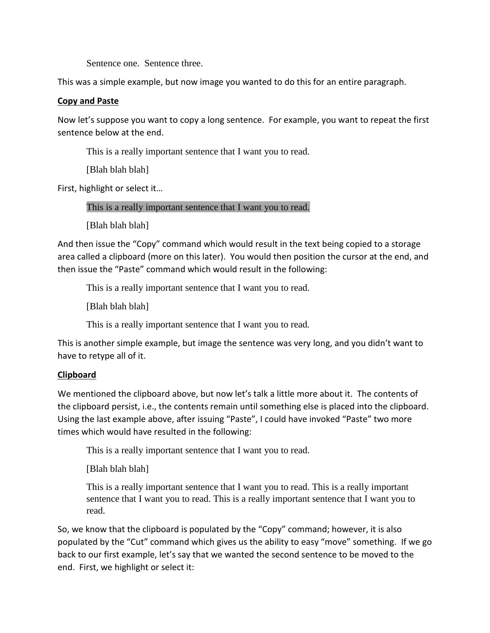Sentence one. Sentence three.

This was a simple example, but now image you wanted to do this for an entire paragraph.

## **Copy and Paste**

Now let's suppose you want to copy a long sentence. For example, you want to repeat the first sentence below at the end.

This is a really important sentence that I want you to read.

[Blah blah]

First, highlight or select it…

This is a really important sentence that I want you to read.

[Blah blah]

And then issue the "Copy" command which would result in the text being copied to a storage area called a clipboard (more on this later). You would then position the cursor at the end, and then issue the "Paste" command which would result in the following:

This is a really important sentence that I want you to read.

[Blah blah]

This is a really important sentence that I want you to read.

This is another simple example, but image the sentence was very long, and you didn't want to have to retype all of it.

## **Clipboard**

We mentioned the clipboard above, but now let's talk a little more about it. The contents of the clipboard persist, i.e., the contents remain until something else is placed into the clipboard. Using the last example above, after issuing "Paste", I could have invoked "Paste" two more times which would have resulted in the following:

This is a really important sentence that I want you to read.

[Blah blah]

This is a really important sentence that I want you to read. This is a really important sentence that I want you to read. This is a really important sentence that I want you to read.

So, we know that the clipboard is populated by the "Copy" command; however, it is also populated by the "Cut" command which gives us the ability to easy "move" something. If we go back to our first example, let's say that we wanted the second sentence to be moved to the end. First, we highlight or select it: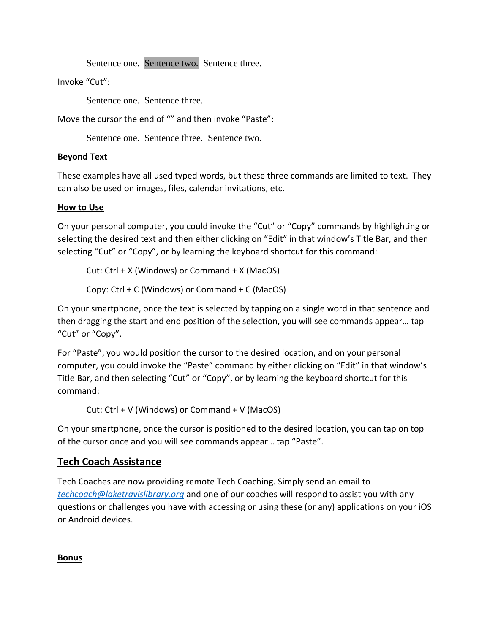Sentence one. Sentence two. Sentence three.

Invoke "Cut":

Sentence one. Sentence three.

Move the cursor the end of "" and then invoke "Paste":

Sentence one. Sentence three. Sentence two.

### **Beyond Text**

These examples have all used typed words, but these three commands are limited to text. They can also be used on images, files, calendar invitations, etc.

#### **How to Use**

On your personal computer, you could invoke the "Cut" or "Copy" commands by highlighting or selecting the desired text and then either clicking on "Edit" in that window's Title Bar, and then selecting "Cut" or "Copy", or by learning the keyboard shortcut for this command:

Cut: Ctrl + X (Windows) or Command + X (MacOS)

Copy: Ctrl + C (Windows) or Command + C (MacOS)

On your smartphone, once the text is selected by tapping on a single word in that sentence and then dragging the start and end position of the selection, you will see commands appear… tap "Cut" or "Copy".

For "Paste", you would position the cursor to the desired location, and on your personal computer, you could invoke the "Paste" command by either clicking on "Edit" in that window's Title Bar, and then selecting "Cut" or "Copy", or by learning the keyboard shortcut for this command:

Cut: Ctrl + V (Windows) or Command + V (MacOS)

On your smartphone, once the cursor is positioned to the desired location, you can tap on top of the cursor once and you will see commands appear… tap "Paste".

## **Tech Coach Assistance**

Tech Coaches are now providing remote Tech Coaching. Simply send an email to *[techcoach@laketravislibrary.org](mailto:techcoach@laketravislibrary.org)* and one of our coaches will respond to assist you with any questions or challenges you have with accessing or using these (or any) applications on your iOS or Android devices.

**Bonus**